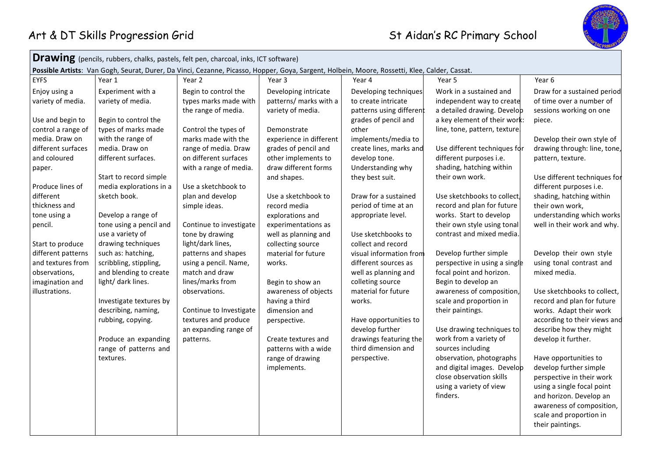

**Drawing** (pencils, rubbers, chalks, pastels, felt pen, charcoal, inks, ICT software) **Possible Artists**: Van Gogh, Seurat, Durer, Da Vinci, Cezanne, Picasso, Hopper, Goya, Sargent, Holbein, Moore, Rossetti, Klee, Calder, Cassat. EYFS | Year 1 | Year 2 | Year 3 | Year 4 | Year 5 | Year 6 Enjoy using a variety of media. Use and begin to control a range of media. Draw on different surfaces and coloured paper. Produce lines of different thickness and tone using a pencil. Start to produce different patterns and textures from observations, imagination and illustrations. Experiment with a variety of media. Begin to control the types of marks made with the range of media. Draw on different surfaces. Start to record simple media explorations in a sketch book. Develop a range of tone using a pencil and use a variety of drawing techniques such as: hatching, scribbling, stippling, and blending to create light/ dark lines. Investigate textures by describing, naming, rubbing, copying. Produce an expanding range of patterns and textures. Begin to control the types marks made with the range of media. Control the types of marks made with the range of media. Draw on different surfaces with a range of media. Use a sketchbook to plan and develop simple ideas. Continue to investigate tone by drawing light/dark lines, patterns and shapes using a pencil. Name, match and draw lines/marks from observations. Continue to Investigate textures and produce an expanding range of patterns. Developing intricate patterns/ marks with a variety of media. Demonstrate experience in different grades of pencil and other implements to draw different forms and shapes. Use a sketchbook to record media explorations and experimentations as well as planning and collecting source material for future works. Begin to show an awareness of objects having a third dimension and perspective. Create textures and patterns with a wide range of drawing implements. Developing techniques to create intricate patterns using different grades of pencil and other implements/media to create lines, marks and develop tone. Understanding why they best suit. Draw for a sustained period of time at an appropriate level. Use sketchbooks to collect and record visual information from different sources as well as planning and colleting source material for future works. Have opportunities to develop further drawings featuring the third dimension and perspective. Work in a sustained and independent way to create a detailed drawing. Develop a key element of their work: line, tone, pattern, texture. Use different techniques for different purposes i.e. shading, hatching within their own work. Use sketchbooks to collect. record and plan for future works. Start to develop their own style using tonal contrast and mixed media. Develop further simple perspective in using a single focal point and horizon. Begin to develop an awareness of composition, scale and proportion in their paintings. Use drawing techniques to work from a variety of sources including observation, photographs and digital images. Develop close observation skills using a variety of view finders. Draw for a sustained period of time over a number of sessions working on one piece. Develop their own style of drawing through: line, tone, pattern, texture. Use different techniques for different purposes i.e. shading, hatching within their own work, understanding which works well in their work and why. Develop their own style using tonal contrast and mixed media. Use sketchbooks to collect, record and plan for future works. Adapt their work according to their views and describe how they might develop it further. Have opportunities to develop further simple perspective in their work using a single focal point and horizon. Develop an awareness of composition, scale and proportion in their paintings.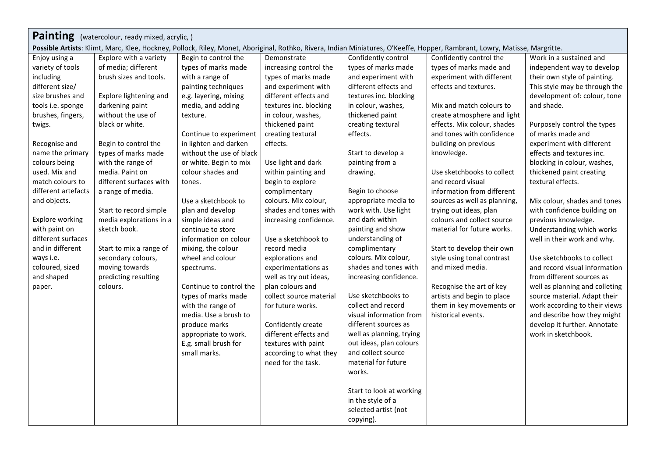| Possible Artists: Klimt, Marc, Klee, Hockney, Pollock, Riley, Monet, Aboriginal, Rothko, Rivera, Indian Miniatures, O'Keeffe, Hopper, Rambrant, Lowry, Matisse, Margritte.<br>Confidently control the<br>Work in a sustained and<br>Explore with a variety<br>Begin to control the<br>Demonstrate<br>Confidently control<br>Enjoy using a | Painting (watercolour, ready mixed, acrylic, ) |                     |                     |                        |                     |                         |                                |  |
|-------------------------------------------------------------------------------------------------------------------------------------------------------------------------------------------------------------------------------------------------------------------------------------------------------------------------------------------|------------------------------------------------|---------------------|---------------------|------------------------|---------------------|-------------------------|--------------------------------|--|
|                                                                                                                                                                                                                                                                                                                                           |                                                |                     |                     |                        |                     |                         |                                |  |
|                                                                                                                                                                                                                                                                                                                                           |                                                |                     |                     |                        |                     |                         |                                |  |
|                                                                                                                                                                                                                                                                                                                                           | variety of tools                               | of media; different | types of marks made | increasing control the | types of marks made | types of marks made and | independent way to develop     |  |
| brush sizes and tools.<br>with a range of<br>types of marks made<br>and experiment with<br>experiment with different<br>their own style of painting.<br>including                                                                                                                                                                         |                                                |                     |                     |                        |                     |                         |                                |  |
| and experiment with<br>different effects and<br>different size/<br>painting techniques<br>effects and textures.                                                                                                                                                                                                                           |                                                |                     |                     |                        |                     |                         | This style may be through the  |  |
| different effects and<br>size brushes and<br>Explore lightening and<br>e.g. layering, mixing<br>textures inc. blocking                                                                                                                                                                                                                    |                                                |                     |                     |                        |                     |                         | development of: colour, tone   |  |
| media, and adding<br>Mix and match colours to<br>and shade.<br>tools i.e. sponge<br>darkening paint<br>textures inc. blocking<br>in colour, washes,                                                                                                                                                                                       |                                                |                     |                     |                        |                     |                         |                                |  |
| without the use of<br>thickened paint<br>brushes, fingers,<br>in colour, washes,<br>create atmosphere and light<br>texture.                                                                                                                                                                                                               |                                                |                     |                     |                        |                     |                         |                                |  |
| effects. Mix colour, shades<br>thickened paint<br>Purposely control the types<br>black or white.<br>creating textural<br>twigs.                                                                                                                                                                                                           |                                                |                     |                     |                        |                     |                         |                                |  |
| and tones with confidence<br>Continue to experiment<br>creating textural<br>effects.<br>of marks made and                                                                                                                                                                                                                                 |                                                |                     |                     |                        |                     |                         |                                |  |
| in lighten and darken<br>effects.<br>building on previous<br>Recognise and<br>Begin to control the<br>experiment with different                                                                                                                                                                                                           |                                                |                     |                     |                        |                     |                         |                                |  |
| types of marks made<br>without the use of black<br>Start to develop a<br>knowledge.<br>effects and textures inc.<br>name the primary                                                                                                                                                                                                      |                                                |                     |                     |                        |                     |                         |                                |  |
| with the range of<br>Use light and dark<br>painting from a<br>blocking in colour, washes,<br>colours being<br>or white. Begin to mix                                                                                                                                                                                                      |                                                |                     |                     |                        |                     |                         |                                |  |
| Use sketchbooks to collect<br>used. Mix and<br>media. Paint on<br>colour shades and<br>within painting and<br>drawing.<br>thickened paint creating                                                                                                                                                                                        |                                                |                     |                     |                        |                     |                         |                                |  |
| different surfaces with<br>and record visual<br>textural effects.<br>match colours to<br>begin to explore<br>tones.                                                                                                                                                                                                                       |                                                |                     |                     |                        |                     |                         |                                |  |
| Begin to choose<br>different artefacts<br>complimentary<br>information from different<br>a range of media.                                                                                                                                                                                                                                |                                                |                     |                     |                        |                     |                         |                                |  |
| and objects.<br>Use a sketchbook to<br>colours. Mix colour,<br>appropriate media to<br>sources as well as planning,                                                                                                                                                                                                                       |                                                |                     |                     |                        |                     |                         | Mix colour, shades and tones   |  |
| Start to record simple<br>shades and tones with<br>work with. Use light<br>with confidence building on<br>plan and develop<br>trying out ideas, plan                                                                                                                                                                                      |                                                |                     |                     |                        |                     |                         |                                |  |
| media explorations in a<br>and dark within<br>colours and collect source<br><b>Explore working</b><br>simple ideas and<br>previous knowledge.<br>increasing confidence.                                                                                                                                                                   |                                                |                     |                     |                        |                     |                         |                                |  |
| sketch book.<br>painting and show<br>material for future works.<br>with paint on<br>continue to store                                                                                                                                                                                                                                     |                                                |                     |                     |                        |                     |                         | Understanding which works      |  |
| different surfaces<br>Use a sketchbook to<br>understanding of<br>information on colour<br>well in their work and why.                                                                                                                                                                                                                     |                                                |                     |                     |                        |                     |                         |                                |  |
| and in different<br>Start to mix a range of<br>complimentary<br>Start to develop their own<br>mixing, the colour<br>record media                                                                                                                                                                                                          |                                                |                     |                     |                        |                     |                         |                                |  |
| colours. Mix colour,<br>style using tonal contrast<br>ways i.e.<br>secondary colours,<br>wheel and colour<br>Use sketchbooks to collect<br>explorations and                                                                                                                                                                               |                                                |                     |                     |                        |                     |                         |                                |  |
| moving towards<br>shades and tones with<br>and mixed media.<br>coloured, sized<br>experimentations as<br>spectrums.                                                                                                                                                                                                                       |                                                |                     |                     |                        |                     |                         | and record visual information  |  |
| and shaped<br>predicting resulting<br>well as try out ideas,<br>increasing confidence.<br>from different sources as                                                                                                                                                                                                                       |                                                |                     |                     |                        |                     |                         |                                |  |
| Recognise the art of key<br>colours.<br>Continue to control the<br>plan colours and<br>paper.                                                                                                                                                                                                                                             |                                                |                     |                     |                        |                     |                         | well as planning and colleting |  |
| Use sketchbooks to<br>types of marks made<br>collect source material<br>artists and begin to place                                                                                                                                                                                                                                        |                                                |                     |                     |                        |                     |                         | source material. Adapt their   |  |
| collect and record<br>with the range of<br>them in key movements or<br>for future works.                                                                                                                                                                                                                                                  |                                                |                     |                     |                        |                     |                         | work according to their views  |  |
| media. Use a brush to<br>visual information from<br>historical events.                                                                                                                                                                                                                                                                    |                                                |                     |                     |                        |                     |                         | and describe how they might    |  |
| different sources as<br>produce marks<br>Confidently create                                                                                                                                                                                                                                                                               |                                                |                     |                     |                        |                     |                         | develop it further. Annotate   |  |
| different effects and<br>well as planning, trying<br>work in sketchbook.<br>appropriate to work.                                                                                                                                                                                                                                          |                                                |                     |                     |                        |                     |                         |                                |  |
| E.g. small brush for<br>out ideas, plan colours<br>textures with paint                                                                                                                                                                                                                                                                    |                                                |                     |                     |                        |                     |                         |                                |  |
| and collect source<br>small marks.<br>according to what they                                                                                                                                                                                                                                                                              |                                                |                     |                     |                        |                     |                         |                                |  |
| need for the task.<br>material for future                                                                                                                                                                                                                                                                                                 |                                                |                     |                     |                        |                     |                         |                                |  |
| works.                                                                                                                                                                                                                                                                                                                                    |                                                |                     |                     |                        |                     |                         |                                |  |
| Start to look at working                                                                                                                                                                                                                                                                                                                  |                                                |                     |                     |                        |                     |                         |                                |  |
| in the style of a                                                                                                                                                                                                                                                                                                                         |                                                |                     |                     |                        |                     |                         |                                |  |
| selected artist (not                                                                                                                                                                                                                                                                                                                      |                                                |                     |                     |                        |                     |                         |                                |  |
| copying).                                                                                                                                                                                                                                                                                                                                 |                                                |                     |                     |                        |                     |                         |                                |  |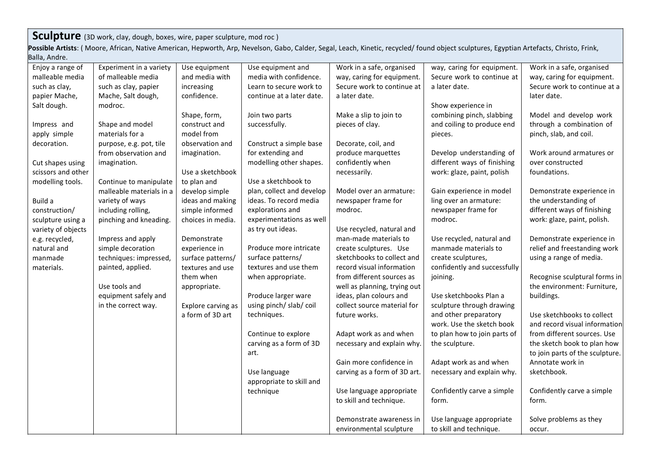## **Sculpture** (3D work, clay, dough, boxes, wire, paper sculpture, mod roc)

Possible Artists: (Moore, African, Native American, Hepworth, Arp, Nevelson, Gabo, Calder, Segal, Leach, Kinetic, recycled/ found object sculptures, Egyptian Artefacts, Christo, Frink, Balla, Andre.

| Enjoy a range of   | Experiment in a variety  | Use equipment      | Use equipment and         | Work in a safe, organised    | way, caring for equipment.   | Work in a safe, organised       |
|--------------------|--------------------------|--------------------|---------------------------|------------------------------|------------------------------|---------------------------------|
| malleable media    | of malleable media       | and media with     | media with confidence.    | way, caring for equipment.   | Secure work to continue at   | way, caring for equipment.      |
| such as clay,      | such as clay, papier     | increasing         | Learn to secure work to   | Secure work to continue at   | a later date.                | Secure work to continue at a    |
| papier Mache,      | Mache, Salt dough,       | confidence.        | continue at a later date. | a later date.                |                              | later date.                     |
| Salt dough.        | modroc.                  |                    |                           |                              | Show experience in           |                                 |
|                    |                          | Shape, form,       | Join two parts            | Make a slip to join to       | combining pinch, slabbing    | Model and develop work          |
| Impress and        | Shape and model          | construct and      | successfully.             | pieces of clay.              | and coiling to produce end   | through a combination of        |
| apply simple       | materials for a          | model from         |                           |                              | pieces.                      | pinch, slab, and coil.          |
| decoration.        | purpose, e.g. pot, tile  | observation and    | Construct a simple base   | Decorate, coil, and          |                              |                                 |
|                    | from observation and     | imagination.       | for extending and         | produce marquettes           | Develop understanding of     | Work around armatures or        |
| Cut shapes using   | imagination.             |                    | modelling other shapes.   | confidently when             | different ways of finishing  | over constructed                |
| scissors and other |                          | Use a sketchbook   |                           | necessarily.                 | work: glaze, paint, polish   | foundations.                    |
| modelling tools.   | Continue to manipulate   | to plan and        | Use a sketchbook to       |                              |                              |                                 |
|                    | malleable materials in a | develop simple     | plan, collect and develop | Model over an armature:      | Gain experience in model     | Demonstrate experience in       |
| Build a            | variety of ways          | ideas and making   | ideas. To record media    | newspaper frame for          | ling over an armature:       | the understanding of            |
| construction/      | including rolling,       | simple informed    | explorations and          | modroc.                      | newspaper frame for          | different ways of finishing     |
| sculpture using a  | pinching and kneading.   | choices in media.  | experimentations as well  |                              | modroc.                      | work: glaze, paint, polish.     |
| variety of objects |                          |                    | as try out ideas.         | Use recycled, natural and    |                              |                                 |
| e.g. recycled,     | Impress and apply        | Demonstrate        |                           | man-made materials to        | Use recycled, natural and    | Demonstrate experience in       |
| natural and        | simple decoration        | experience in      | Produce more intricate    | create sculptures. Use       | manmade materials to         | relief and freestanding work    |
| manmade            | techniques: impressed,   | surface patterns/  | surface patterns/         | sketchbooks to collect and   | create sculptures,           | using a range of media.         |
| materials.         | painted, applied.        | textures and use   | textures and use them     | record visual information    | confidently and successfully |                                 |
|                    |                          | them when          | when appropriate.         | from different sources as    | joining.                     | Recognise sculptural forms in   |
|                    | Use tools and            | appropriate.       |                           | well as planning, trying out |                              | the environment: Furniture,     |
|                    | equipment safely and     |                    | Produce larger ware       | ideas, plan colours and      | Use sketchbooks Plan a       | buildings.                      |
|                    | in the correct way.      | Explore carving as | using pinch/ slab/ coil   | collect source material for  | sculpture through drawing    |                                 |
|                    |                          | a form of 3D art   | techniques.               | future works.                | and other preparatory        | Use sketchbooks to collect      |
|                    |                          |                    |                           |                              | work. Use the sketch book    | and record visual information   |
|                    |                          |                    | Continue to explore       | Adapt work as and when       | to plan how to join parts of | from different sources. Use     |
|                    |                          |                    | carving as a form of 3D   | necessary and explain why.   | the sculpture.               | the sketch book to plan how     |
|                    |                          |                    | art.                      |                              |                              | to join parts of the sculpture. |
|                    |                          |                    |                           | Gain more confidence in      | Adapt work as and when       | Annotate work in                |
|                    |                          |                    | Use language              | carving as a form of 3D art. | necessary and explain why.   | sketchbook.                     |
|                    |                          |                    | appropriate to skill and  |                              |                              |                                 |
|                    |                          |                    | technique                 | Use language appropriate     | Confidently carve a simple   | Confidently carve a simple      |
|                    |                          |                    |                           | to skill and technique.      | form.                        | form.                           |
|                    |                          |                    |                           |                              |                              |                                 |
|                    |                          |                    |                           | Demonstrate awareness in     | Use language appropriate     | Solve problems as they          |
|                    |                          |                    |                           | environmental sculpture      | to skill and technique.      | occur.                          |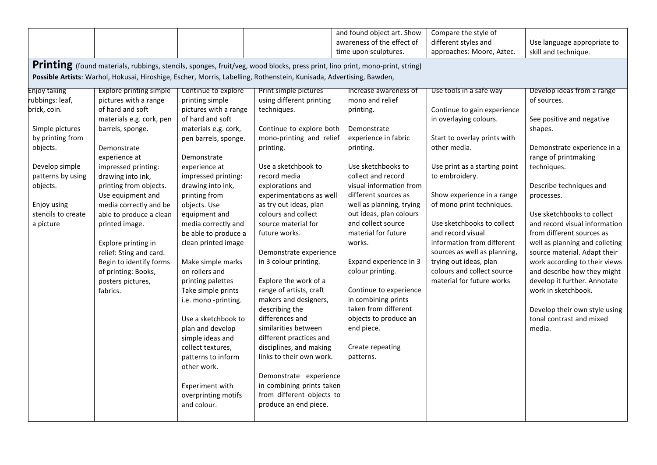|                                                                                                                                                                                                                                                             |                                                                                                                                                                                                                                                                                                                                                                                                                                                                    |                                                                                                                                                                                                                                                                                                                                                                                                                                                                                                                                                                                                                                     |                                                                                                                                                                                                                                                                                                                                                                                                                                                                                                                                                                                                                                                                                                                   | and found object art. Show<br>awareness of the effect of<br>time upon sculptures.                                                                                                                                                                                                                                                                                                                                                                                                                                     | Compare the style of<br>different styles and<br>approaches: Moore, Aztec.                                                                                                                                                                                                                                                                                                                                                                            | Use language appropriate to<br>skill and technique.                                                                                                                                                                                                                                                                                                                                                                                                                                                                                                          |  |  |
|-------------------------------------------------------------------------------------------------------------------------------------------------------------------------------------------------------------------------------------------------------------|--------------------------------------------------------------------------------------------------------------------------------------------------------------------------------------------------------------------------------------------------------------------------------------------------------------------------------------------------------------------------------------------------------------------------------------------------------------------|-------------------------------------------------------------------------------------------------------------------------------------------------------------------------------------------------------------------------------------------------------------------------------------------------------------------------------------------------------------------------------------------------------------------------------------------------------------------------------------------------------------------------------------------------------------------------------------------------------------------------------------|-------------------------------------------------------------------------------------------------------------------------------------------------------------------------------------------------------------------------------------------------------------------------------------------------------------------------------------------------------------------------------------------------------------------------------------------------------------------------------------------------------------------------------------------------------------------------------------------------------------------------------------------------------------------------------------------------------------------|-----------------------------------------------------------------------------------------------------------------------------------------------------------------------------------------------------------------------------------------------------------------------------------------------------------------------------------------------------------------------------------------------------------------------------------------------------------------------------------------------------------------------|------------------------------------------------------------------------------------------------------------------------------------------------------------------------------------------------------------------------------------------------------------------------------------------------------------------------------------------------------------------------------------------------------------------------------------------------------|--------------------------------------------------------------------------------------------------------------------------------------------------------------------------------------------------------------------------------------------------------------------------------------------------------------------------------------------------------------------------------------------------------------------------------------------------------------------------------------------------------------------------------------------------------------|--|--|
| <b>Printing</b> (found materials, rubbings, stencils, sponges, fruit/veg, wood blocks, press print, lino print, mono-print, string)<br>Possible Artists: Warhol, Hokusai, Hiroshige, Escher, Morris, Labelling, Rothenstein, Kunisada, Advertising, Bawden, |                                                                                                                                                                                                                                                                                                                                                                                                                                                                    |                                                                                                                                                                                                                                                                                                                                                                                                                                                                                                                                                                                                                                     |                                                                                                                                                                                                                                                                                                                                                                                                                                                                                                                                                                                                                                                                                                                   |                                                                                                                                                                                                                                                                                                                                                                                                                                                                                                                       |                                                                                                                                                                                                                                                                                                                                                                                                                                                      |                                                                                                                                                                                                                                                                                                                                                                                                                                                                                                                                                              |  |  |
| <b>Enjoy taking</b><br>rubbings: leaf,<br>brick, coin.<br>Simple pictures<br>by printing from<br>objects.<br>Develop simple<br>patterns by using<br>objects.<br>Enjoy using<br>stencils to create<br>a picture                                              | <b>Explore printing simple</b><br>pictures with a range<br>of hard and soft<br>materials e.g. cork, pen<br>barrels, sponge.<br>Demonstrate<br>experience at<br>impressed printing:<br>drawing into ink,<br>printing from objects.<br>Use equipment and<br>media correctly and be<br>able to produce a clean<br>printed image.<br>Explore printing in<br>relief: Sting and card.<br>Begin to identify forms<br>of printing: Books,<br>posters pictures,<br>fabrics. | Continue to explore<br>printing simple<br>pictures with a range<br>of hard and soft<br>materials e.g. cork,<br>pen barrels, sponge.<br>Demonstrate<br>experience at<br>impressed printing:<br>drawing into ink,<br>printing from<br>objects. Use<br>equipment and<br>media correctly and<br>be able to produce a<br>clean printed image<br>Make simple marks<br>on rollers and<br>printing palettes<br>Take simple prints<br>i.e. mono -printing.<br>Use a sketchbook to<br>plan and develop<br>simple ideas and<br>collect textures,<br>patterns to inform<br>other work.<br>Experiment with<br>overprinting motifs<br>and colour. | Print simple pictures<br>using different printing<br>techniques.<br>Continue to explore both<br>mono-printing and relief<br>printing.<br>Use a sketchbook to<br>record media<br>explorations and<br>experimentations as well<br>as try out ideas, plan<br>colours and collect<br>source material for<br>future works.<br>Demonstrate experience<br>in 3 colour printing.<br>Explore the work of a<br>range of artists, craft<br>makers and designers,<br>describing the<br>differences and<br>similarities between<br>different practices and<br>disciplines, and making<br>links to their own work.<br>Demonstrate experience<br>in combining prints taken<br>from different objects to<br>produce an end piece. | Increase awareness of<br>mono and relief<br>printing.<br>Demonstrate<br>experience in fabric<br>printing.<br>Use sketchbooks to<br>collect and record<br>visual information from<br>different sources as<br>well as planning, trying<br>out ideas, plan colours<br>and collect source<br>material for future<br>works.<br>Expand experience in 3<br>colour printing.<br>Continue to experience<br>in combining prints<br>taken from different<br>objects to produce an<br>end piece.<br>Create repeating<br>patterns. | Use tools in a safe way<br>Continue to gain experience<br>in overlaying colours.<br>Start to overlay prints with<br>other media.<br>Use print as a starting point<br>to embroidery.<br>Show experience in a range<br>of mono print techniques.<br>Use sketchbooks to collect<br>and record visual<br>information from different<br>sources as well as planning,<br>trying out ideas, plan<br>colours and collect source<br>material for future works | Develop ideas from a range<br>of sources.<br>See positive and negative<br>shapes.<br>Demonstrate experience in a<br>range of printmaking<br>techniques.<br>Describe techniques and<br>processes.<br>Use sketchbooks to collect<br>and record visual information<br>from different sources as<br>well as planning and colleting<br>source material. Adapt their<br>work according to their views<br>and describe how they might<br>develop it further. Annotate<br>work in sketchbook.<br>Develop their own style using<br>tonal contrast and mixed<br>media. |  |  |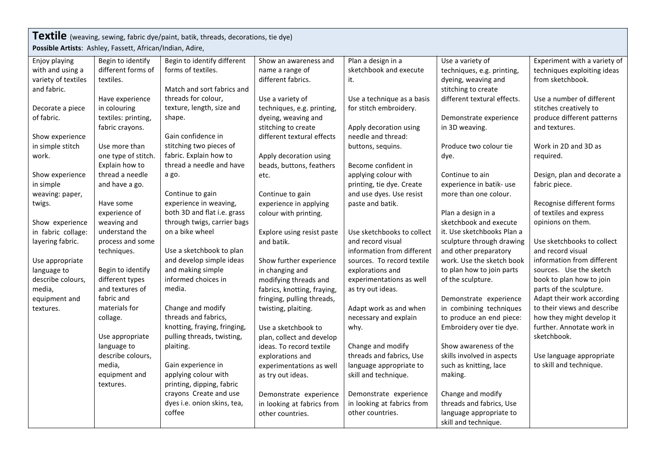| Textile (weaving, sewing, fabric dye/paint, batik, threads, decorations, tie dye) |                     |                              |                             |                            |                             |                              |  |
|-----------------------------------------------------------------------------------|---------------------|------------------------------|-----------------------------|----------------------------|-----------------------------|------------------------------|--|
| Possible Artists: Ashley, Fassett, African/Indian, Adire,                         |                     |                              |                             |                            |                             |                              |  |
| Enjoy playing                                                                     | Begin to identify   | Begin to identify different  | Show an awareness and       | Plan a design in a         | Use a variety of            | Experiment with a variety of |  |
| with and using a                                                                  | different forms of  | forms of textiles.           | name a range of             | sketchbook and execute     | techniques, e.g. printing,  | techniques exploiting ideas  |  |
| variety of textiles                                                               | textiles.           |                              | different fabrics.          | it.                        | dyeing, weaving and         | from sketchbook.             |  |
| and fabric.                                                                       |                     | Match and sort fabrics and   |                             |                            | stitching to create         |                              |  |
|                                                                                   | Have experience     | threads for colour,          | Use a variety of            | Use a technique as a basis | different textural effects. | Use a number of different    |  |
| Decorate a piece                                                                  | in colouring        | texture, length, size and    | techniques, e.g. printing,  | for stitch embroidery.     |                             | stitches creatively to       |  |
| of fabric.                                                                        | textiles: printing, | shape.                       | dyeing, weaving and         |                            | Demonstrate experience      | produce different patterns   |  |
|                                                                                   | fabric crayons.     |                              | stitching to create         | Apply decoration using     | in 3D weaving.              | and textures.                |  |
| Show experience                                                                   |                     | Gain confidence in           | different textural effects  | needle and thread:         |                             |                              |  |
| in simple stitch                                                                  | Use more than       | stitching two pieces of      |                             | buttons, sequins.          | Produce two colour tie      | Work in 2D and 3D as         |  |
| work.                                                                             | one type of stitch. | fabric. Explain how to       | Apply decoration using      |                            | dye.                        | required.                    |  |
|                                                                                   | Explain how to      | thread a needle and have     | beads, buttons, feathers    | Become confident in        |                             |                              |  |
| Show experience                                                                   | thread a needle     | a go.                        | etc.                        | applying colour with       | Continue to ain             | Design, plan and decorate a  |  |
| in simple                                                                         | and have a go.      |                              |                             | printing, tie dye. Create  | experience in batik- use    | fabric piece.                |  |
| weaving: paper,                                                                   |                     | Continue to gain             | Continue to gain            | and use dyes. Use resist   | more than one colour.       |                              |  |
| twigs.                                                                            | Have some           | experience in weaving,       | experience in applying      | paste and batik.           |                             | Recognise different forms    |  |
|                                                                                   | experience of       | both 3D and flat i.e. grass  | colour with printing.       |                            | Plan a design in a          | of textiles and express      |  |
| Show experience                                                                   | weaving and         | through twigs, carrier bags  |                             |                            | sketchbook and execute      | opinions on them.            |  |
| in fabric collage:                                                                | understand the      | on a bike wheel              | Explore using resist paste  | Use sketchbooks to collect | it. Use sketchbooks Plan a  |                              |  |
| layering fabric.                                                                  | process and some    |                              | and batik.                  | and record visual          | sculpture through drawing   | Use sketchbooks to collect   |  |
|                                                                                   | techniques.         | Use a sketchbook to plan     |                             | information from different | and other preparatory       | and record visual            |  |
| Use appropriate                                                                   |                     | and develop simple ideas     | Show further experience     | sources. To record textile | work. Use the sketch book   | information from different   |  |
| language to                                                                       | Begin to identify   | and making simple            | in changing and             | explorations and           | to plan how to join parts   | sources. Use the sketch      |  |
| describe colours,                                                                 | different types     | informed choices in          | modifying threads and       | experimentations as well   | of the sculpture.           | book to plan how to join     |  |
| media,                                                                            | and textures of     | media.                       | fabrics, knotting, fraying, | as try out ideas.          |                             | parts of the sculpture.      |  |
| equipment and                                                                     | fabric and          |                              | fringing, pulling threads,  |                            | Demonstrate experience      | Adapt their work according   |  |
| textures.                                                                         | materials for       | Change and modify            | twisting, plaiting.         | Adapt work as and when     | in combining techniques     | to their views and describe  |  |
|                                                                                   | collage.            | threads and fabrics,         |                             | necessary and explain      | to produce an end piece:    | how they might develop it    |  |
|                                                                                   |                     | knotting, fraying, fringing, | Use a sketchbook to         | why.                       | Embroidery over tie dye.    | further. Annotate work in    |  |
|                                                                                   | Use appropriate     | pulling threads, twisting,   | plan, collect and develop   |                            |                             | sketchbook.                  |  |
|                                                                                   | language to         | plaiting.                    | ideas. To record textile    | Change and modify          | Show awareness of the       |                              |  |
|                                                                                   | describe colours,   |                              | explorations and            | threads and fabrics, Use   | skills involved in aspects  | Use language appropriate     |  |
|                                                                                   | media,              | Gain experience in           | experimentations as well    | language appropriate to    | such as knitting, lace      | to skill and technique.      |  |
|                                                                                   | equipment and       | applying colour with         | as try out ideas.           | skill and technique.       | making.                     |                              |  |
|                                                                                   | textures.           | printing, dipping, fabric    |                             |                            |                             |                              |  |
|                                                                                   |                     | crayons Create and use       | Demonstrate experience      | Demonstrate experience     | Change and modify           |                              |  |
|                                                                                   |                     | dyes i.e. onion skins, tea,  | in looking at fabrics from  | in looking at fabrics from | threads and fabrics, Use    |                              |  |
|                                                                                   |                     | coffee                       | other countries.            | other countries.           | language appropriate to     |                              |  |
|                                                                                   |                     |                              |                             |                            | skill and technique.        |                              |  |